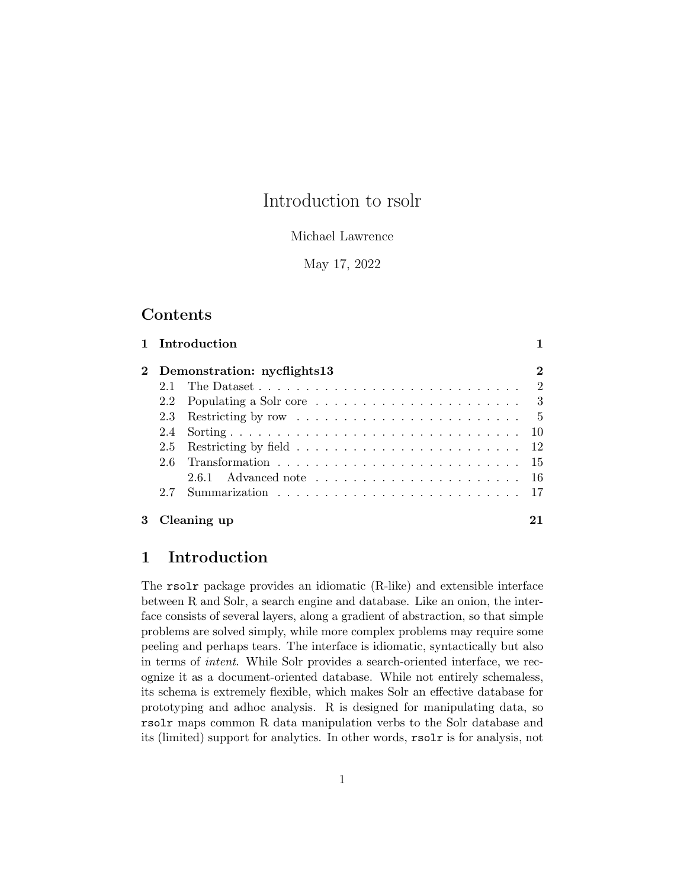## Introduction to rsolr

#### Michael Lawrence

May 17, 2022

## **Contents**

|     | 1 Introduction                                                                     |                |
|-----|------------------------------------------------------------------------------------|----------------|
|     | 2 Demonstration: nycflights13                                                      | $\overline{2}$ |
|     | The Dataset $\ldots \ldots \ldots \ldots \ldots \ldots \ldots \ldots \ldots$       |                |
|     | 2.2 Populating a Solr core $\ldots \ldots \ldots \ldots \ldots \ldots$             |                |
|     | 2.3 Restricting by row $\ldots \ldots \ldots \ldots \ldots \ldots \ldots \ldots 5$ |                |
| 2.4 |                                                                                    |                |
|     |                                                                                    |                |
| 2.6 |                                                                                    |                |
|     | 2.6.1 Advanced note $\ldots \ldots \ldots \ldots \ldots \ldots \ldots \ldots 16$   |                |
| 2.7 |                                                                                    |                |
|     | Cleaning up                                                                        |                |

## 1 Introduction

The rsolr package provides an idiomatic (R-like) and extensible interface between R and Solr, a search engine and database. Like an onion, the interface consists of several layers, along a gradient of abstraction, so that simple problems are solved simply, while more complex problems may require some peeling and perhaps tears. The interface is idiomatic, syntactically but also in terms of intent. While Solr provides a search-oriented interface, we recognize it as a document-oriented database. While not entirely schemaless, its schema is extremely flexible, which makes Solr an effective database for prototyping and adhoc analysis. R is designed for manipulating data, so rsolr maps common R data manipulation verbs to the Solr database and its (limited) support for analytics. In other words, rsolr is for analysis, not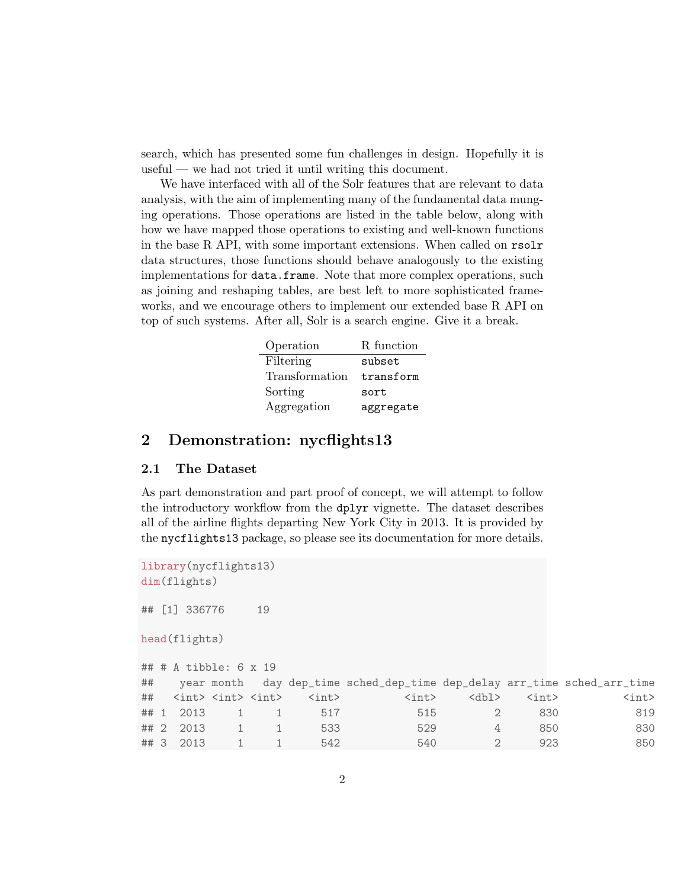search, which has presented some fun challenges in design. Hopefully it is useful — we had not tried it until writing this document.

We have interfaced with all of the Solr features that are relevant to data analysis, with the aim of implementing many of the fundamental data munging operations. Those operations are listed in the table below, along with how we have mapped those operations to existing and well-known functions in the base R API, with some important extensions. When called on rsolr data structures, those functions should behave analogously to the existing implementations for data.frame. Note that more complex operations, such as joining and reshaping tables, are best left to more sophisticated frameworks, and we encourage others to implement our extended base R API on top of such systems. After all, Solr is a search engine. Give it a break.

| Operation      | R function |
|----------------|------------|
| Filtering      | subset     |
| Transformation | transform  |
| Sorting        | sort       |
| Aggregation    | aggregate  |

### 2 Demonstration: nycflights13

#### 2.1 The Dataset

As part demonstration and part proof of concept, we will attempt to follow the introductory workflow from the dplyr vignette. The dataset describes all of the airline flights departing New York City in 2013. It is provided by the nycflights13 package, so please see its documentation for more details.

```
library(nycflights13)
dim(flights)
## [1] 336776 19
head(flights)
## # A tibble: 6 x 19
## year month day dep_time sched_dep_time dep_delay arr_time sched_arr_time
## <int> <int> <int> <int> <int> <dbl> <int> <int>
## 1 2013 1 1 517 515 2 830 819
## 2 2013 1 1 533 529 4 850 830
## 3 2013 1 1 542 540 2 923 850
```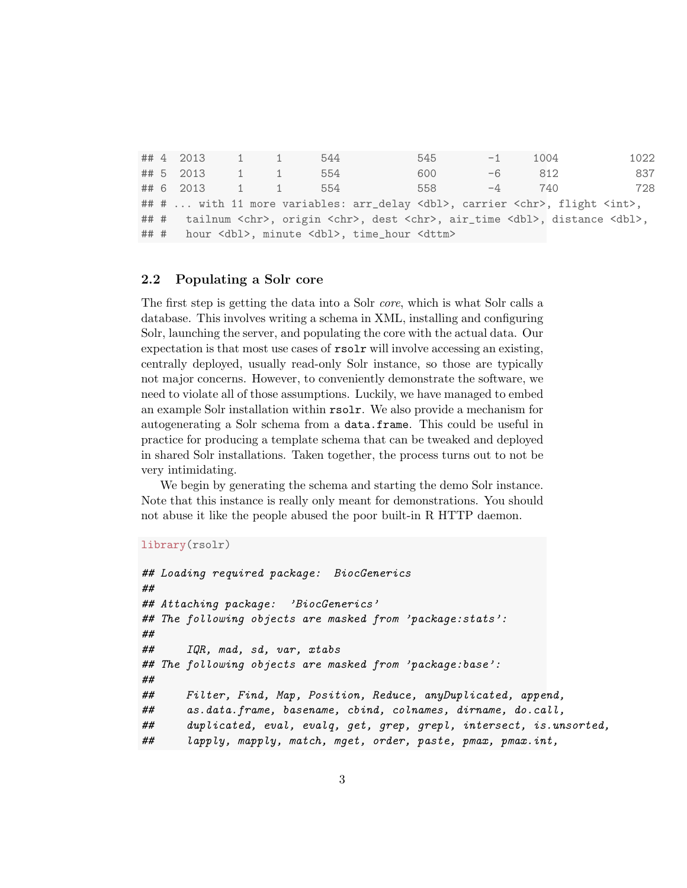## 4 2013 1 1 544 545 -1 1004 1022 ## 5 2013 1 1 554 600 -6 812 837 ## 6 2013 1 1 554 558 -4 740 728 ## # ... with 11 more variables: arr\_delay <dbl>, carrier <chr>, flight <int>, ## # tailnum <chr>, origin <chr>, dest <chr>, air\_time <dbl>, distance <dbl>, ## # hour <dbl>, minute <dbl>, time\_hour <dttm>

#### 2.2 Populating a Solr core

The first step is getting the data into a Solr core, which is what Solr calls a database. This involves writing a schema in XML, installing and configuring Solr, launching the server, and populating the core with the actual data. Our expectation is that most use cases of rsolr will involve accessing an existing, centrally deployed, usually read-only Solr instance, so those are typically not major concerns. However, to conveniently demonstrate the software, we need to violate all of those assumptions. Luckily, we have managed to embed an example Solr installation within rsolr. We also provide a mechanism for autogenerating a Solr schema from a data.frame. This could be useful in practice for producing a template schema that can be tweaked and deployed in shared Solr installations. Taken together, the process turns out to not be very intimidating.

We begin by generating the schema and starting the demo Solr instance. Note that this instance is really only meant for demonstrations. You should not abuse it like the people abused the poor built-in R HTTP daemon.

```
library(rsolr)
```

```
## Loading required package: BiocGenerics
##
## Attaching package: 'BiocGenerics'
## The following objects are masked from 'package:stats':
##
## IQR, mad, sd, var, xtabs
## The following objects are masked from 'package:base':
##
## Filter, Find, Map, Position, Reduce, anyDuplicated, append,
## as.data.frame, basename, cbind, colnames, dirname, do.call,
## duplicated, eval, evalq, get, grep, grepl, intersect, is.unsorted,
## lapply, mapply, match, mget, order, paste, pmax, pmax.int,
```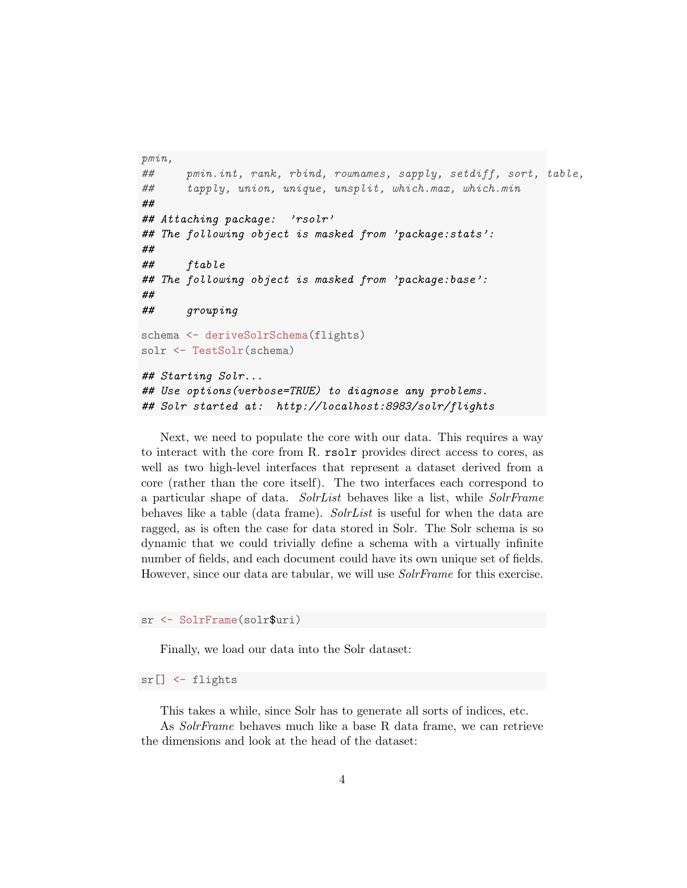```
pmin,
## pmin.int, rank, rbind, rownames, sapply, setdiff, sort, table,
## tapply, union, unique, unsplit, which.max, which.min
##
## Attaching package: 'rsolr'
## The following object is masked from 'package:stats':
##
## ftable
## The following object is masked from 'package:base':
##
## grouping
schema <- deriveSolrSchema(flights)
solr <- TestSolr(schema)
## Starting Solr...
## Use options(verbose=TRUE) to diagnose any problems.
## Solr started at: http://localhost:8983/solr/flights
```
Next, we need to populate the core with our data. This requires a way to interact with the core from R. rsolr provides direct access to cores, as well as two high-level interfaces that represent a dataset derived from a core (rather than the core itself). The two interfaces each correspond to a particular shape of data. SolrList behaves like a list, while SolrFrame behaves like a table (data frame). SolrList is useful for when the data are ragged, as is often the case for data stored in Solr. The Solr schema is so dynamic that we could trivially define a schema with a virtually infinite number of fields, and each document could have its own unique set of fields. However, since our data are tabular, we will use *SolrFrame* for this exercise.

sr <- SolrFrame(solr\$uri)

Finally, we load our data into the Solr dataset:

sr[] <- flights

This takes a while, since Solr has to generate all sorts of indices, etc.

As SolrFrame behaves much like a base R data frame, we can retrieve the dimensions and look at the head of the dataset: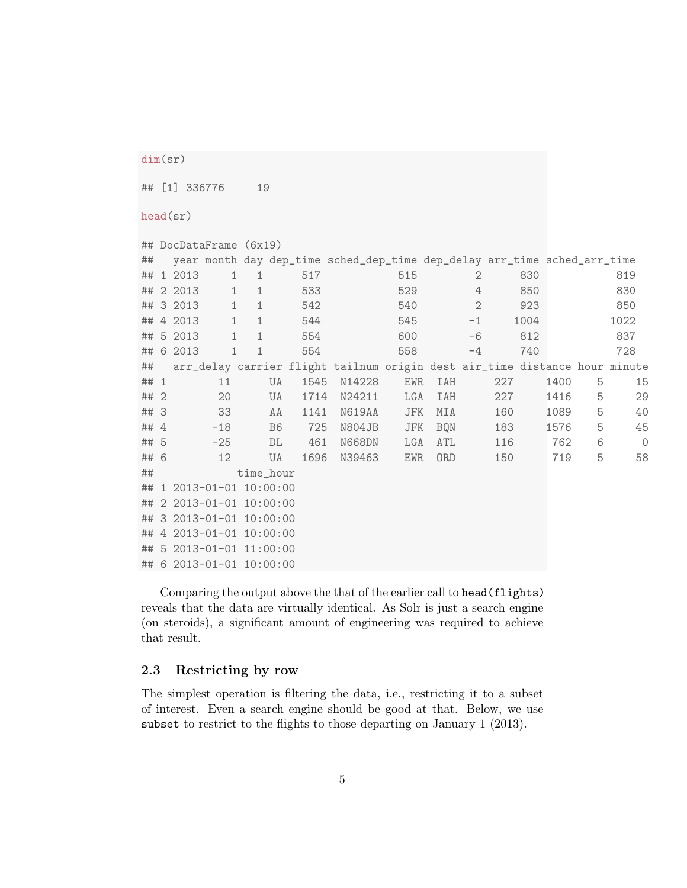```
dim(sr)
```
## [1] 336776 19

head(sr)

|      |           | ## DocDataFrame (6x19)   |              |    |      |                                                                            |            |            |              |     |      |      |   |               |
|------|-----------|--------------------------|--------------|----|------|----------------------------------------------------------------------------|------------|------------|--------------|-----|------|------|---|---------------|
| ##   |           |                          |              |    |      | year month day dep_time sched_dep_time dep_delay arr_time sched_arr_time   |            |            |              |     |      |      |   |               |
|      | ## 1 2013 | $\mathbf{1}$             | 1            |    | 517  |                                                                            | 515        |            | 2            |     | 830  |      |   | 819           |
|      | ## 2 2013 | $\mathbf{1}$             | 1            |    | 533  |                                                                            | 529        |            | 4            |     | 850  |      |   | 830           |
|      | ## 3 2013 | $1\,$                    | $1\,$        |    | 542  |                                                                            | 540        |            | $\mathbf{2}$ |     | 923  |      |   | 850           |
|      | ## 4 2013 | $\mathbf 1$              | $\mathbf{1}$ |    | 544  |                                                                            | 545        |            | $-1$         |     | 1004 |      |   | 1022          |
|      | ## 5 2013 | $\mathbf 1$              | $\mathbf{1}$ |    | 554  |                                                                            | 600        |            | $-6$         |     | 812  |      |   | 837           |
|      | ## 6 2013 | $\mathbf 1$              | $\mathbf{1}$ |    | 554  |                                                                            | 558        |            | $-4$         |     | 740  |      |   | 728           |
| ##   |           |                          |              |    |      | arr_delay carrier flight tailnum origin dest air_time distance hour minute |            |            |              |     |      |      |   |               |
| ## 1 |           | 11                       |              | UA | 1545 | N14228                                                                     | <b>EWR</b> | <b>IAH</b> |              | 227 |      | 1400 | 5 | 15            |
| ## 2 |           | 20                       |              | UA | 1714 | N24211                                                                     | LGA        | IAH        |              | 227 |      | 1416 | 5 | 29            |
| ## 3 |           | 33                       |              | AA | 1141 | N619AA                                                                     | JFK        | MIA        |              | 160 |      | 1089 | 5 | 40            |
| ## 4 |           | $-18$                    |              | B6 | 725  | N804JB                                                                     | JFK        | <b>BQN</b> |              | 183 |      | 1576 | 5 | 45            |
| ## 5 |           | $-25$                    |              | DL | 461  | N668DN                                                                     | LGA        | ATL        |              | 116 |      | 762  | 6 | $\mathcal{O}$ |
| ## 6 |           | 12                       |              | UA | 1696 | N39463                                                                     | <b>EWR</b> | <b>ORD</b> |              | 150 |      | 719  | 5 | 58            |
| ##   |           |                          | time_hour    |    |      |                                                                            |            |            |              |     |      |      |   |               |
|      |           | ## 1 2013-01-01 10:00:00 |              |    |      |                                                                            |            |            |              |     |      |      |   |               |
|      |           | ## 2 2013-01-01 10:00:00 |              |    |      |                                                                            |            |            |              |     |      |      |   |               |
|      |           | ## 3 2013-01-01 10:00:00 |              |    |      |                                                                            |            |            |              |     |      |      |   |               |
|      |           | ## 4 2013-01-01 10:00:00 |              |    |      |                                                                            |            |            |              |     |      |      |   |               |
|      |           | ## 5 2013-01-01 11:00:00 |              |    |      |                                                                            |            |            |              |     |      |      |   |               |
|      |           | ## 6 2013-01-01 10:00:00 |              |    |      |                                                                            |            |            |              |     |      |      |   |               |

Comparing the output above the that of the earlier call to head(flights) reveals that the data are virtually identical. As Solr is just a search engine (on steroids), a significant amount of engineering was required to achieve that result.

#### 2.3 Restricting by row

The simplest operation is filtering the data, i.e., restricting it to a subset of interest. Even a search engine should be good at that. Below, we use subset to restrict to the flights to those departing on January 1 (2013).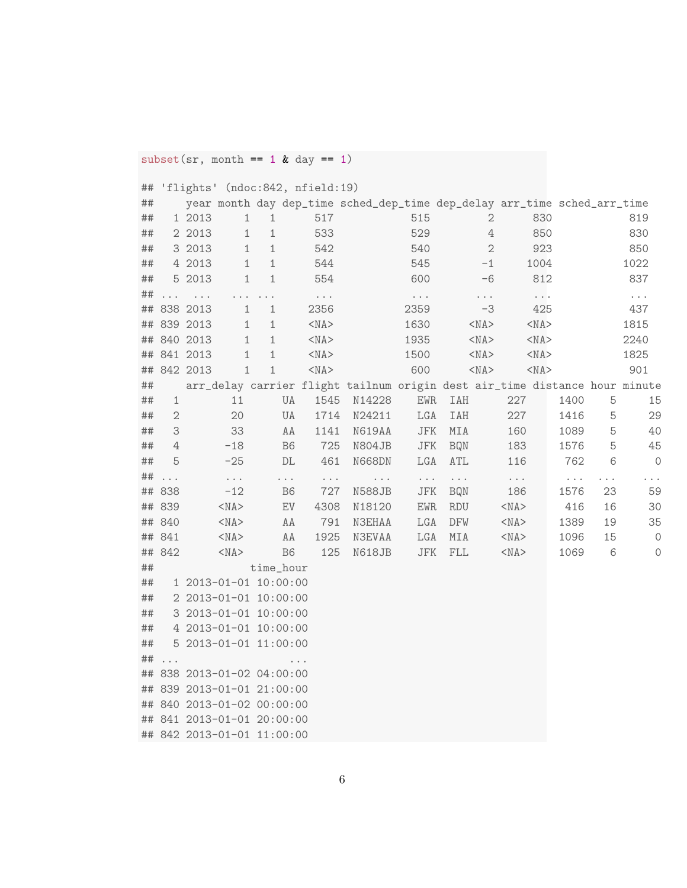$subset(sr, month == 1 & day == 1)$ 

## 'flights' (ndoc:842, nfield:19)

| ##      |             |             |               |                                  |                                    | year month day dep_time sched_dep_time dep_delay arr_time sched_arr_time   |                                  |                         |                  |                               |                                  |                                   |           |           |
|---------|-------------|-------------|---------------|----------------------------------|------------------------------------|----------------------------------------------------------------------------|----------------------------------|-------------------------|------------------|-------------------------------|----------------------------------|-----------------------------------|-----------|-----------|
| ##      |             | 1 2013      | $\mathbbm{1}$ | $1\,$                            | 517                                |                                                                            | 515                              |                         | $\mathbf{2}$     |                               | 830                              |                                   |           | 819       |
| ##      |             | 2 2013      | $\mathbf 1$   | $1\,$                            | 533                                |                                                                            | 529                              |                         | $\ensuremath{4}$ |                               | 850                              |                                   |           | 830       |
| ##      |             | 3 2013      | $\mathbf 1$   | $\mathbf 1$                      | 542                                |                                                                            | 540                              |                         | $\overline{2}$   |                               | 923                              |                                   |           | 850       |
| ##      |             | 4 2013      | $\mathbf 1$   | $\mathbf 1$                      | 544                                |                                                                            | 545                              |                         | $-1$             |                               | 1004                             |                                   |           | 1022      |
| ##      |             | 5 2013      | $\mathbf 1$   | 1                                | 554                                |                                                                            | 600                              |                         | $-6$             |                               | 812                              |                                   |           | 837       |
| ##      |             | $\cdots$    |               | $\epsilon \rightarrow -\epsilon$ | $\epsilon \rightarrow -\epsilon$   |                                                                            | $\epsilon \rightarrow -\epsilon$ |                         | $\sim$ $\sim$    |                               | $\epsilon \rightarrow -\epsilon$ |                                   |           | $\ddotsc$ |
|         |             | ## 838 2013 | $\mathbf{1}$  | $\mathbf{1}$                     | 2356                               |                                                                            | 2359                             |                         | $-3$             |                               | 425                              |                                   |           | 437       |
| ##      |             | 839 2013    | $\mathbf 1$   | $\mathbf{1}$                     | $<$ NA $>$                         |                                                                            | 1630                             |                         | $<$ NA $>$       |                               | $<$ NA $>$                       |                                   |           | 1815      |
| ##      |             | 840 2013    | $\mathbf{1}$  | $\mathbf{1}$                     | $<$ NA $>$                         |                                                                            | 1935                             |                         | $<$ NA $>$       |                               | $<$ NA $>$                       |                                   |           | 2240      |
| ##      |             | 841 2013    | $\mathbf 1$   | $1\,$                            | $<$ NA $>$                         |                                                                            | 1500                             |                         | $<$ NA $>$       |                               | $<$ NA $>$                       |                                   |           | 1825      |
|         |             | ## 842 2013 | $\mathbf 1$   | $\mathbf 1$                      | $<$ NA $>$                         |                                                                            | 600                              |                         | $<$ NA $>$       |                               | $<$ NA $>$                       |                                   |           | 901       |
| ##      |             |             |               |                                  |                                    | arr_delay carrier flight tailnum origin dest air_time distance hour minute |                                  |                         |                  |                               |                                  |                                   |           |           |
| ##      | $\mathbf 1$ |             | 11            |                                  | UA<br>1545                         | N14228                                                                     | ${\rm EWR}$                      | IAH                     |                  | 227                           |                                  | 1400                              | 5         | 15        |
| ##      | 2           |             | 20            |                                  | 1714<br>UA                         | N24211                                                                     | LGA                              | <b>IAH</b>              |                  | 227                           |                                  | 1416                              | 5         | 29        |
| ##      | 3           |             | 33            |                                  | AA<br>1141                         | N619AA                                                                     | $_{\rm{JFK}}$                    | MIA                     |                  | 160                           |                                  | 1089                              | 5         | 40        |
| ##      | 4           |             | $-18$         |                                  | B <sub>6</sub><br>725              | N804JB                                                                     | $_{\rm{JFK}}$                    | <b>BQN</b>              |                  | 183                           |                                  | 1576                              | 5         | 45        |
| ##      | 5           |             | $-25$         |                                  | 461<br>$\mathbb{DL}$               | N668DN                                                                     | ${\rm LGA}$                      | ATL                     |                  | 116                           |                                  | 762                               | $\,6\,$   | $\circ$   |
| ##      | .           |             | $\ddotsc$     | $\sim$ $\sim$                    | $\sim$ $\sim$ $\sim$               | $\sim$ $\sim$                                                              | $\epsilon \rightarrow -\epsilon$ | $\ddotsc$               |                  | $\epsilon \rightarrow \infty$ |                                  | $\epsilon \rightarrow - \epsilon$ | $\ddotsc$ | $\cdots$  |
|         | ## 838      |             | $-12$         |                                  | 727<br>B <sub>6</sub>              | N588JB                                                                     | JFK                              | <b>BQN</b>              |                  | 186                           |                                  | 1576                              | 23        | 59        |
| ##      | 839         |             | $<$ NA $>$    |                                  | $\mathop{\rm EV}\nolimits$<br>4308 | N18120                                                                     | ${\rm EWR}$                      | $\mathop{\mathrm{RDU}}$ |                  | $<$ NA $>$                    |                                  | 416                               | 16        | 30        |
| ##      | 840         |             | $<$ NA $>$    |                                  | 791<br>AA                          | <b>N3EHAA</b>                                                              | ${\rm LGA}$                      | DFW                     |                  | $<$ NA $>$                    |                                  | 1389                              | 19        | 35        |
|         | ## 841      |             | $<$ NA $>$    |                                  | AA<br>1925                         | <b>N3EVAA</b>                                                              | ${\rm LGA}$                      | $\texttt{MIA}$          |                  | $<$ NA $>$                    |                                  | 1096                              | 15        | $\circ$   |
|         | ## 842      |             | $<$ NA $>$    |                                  | B <sub>6</sub><br>125              | N618JB                                                                     | $_{\rm{JFK}}$                    | FLL                     |                  | $<$ NA $>$                    |                                  | 1069                              | 6         | $\circ$   |
| ##      |             |             |               | time_hour                        |                                    |                                                                            |                                  |                         |                  |                               |                                  |                                   |           |           |
| $\# \#$ |             |             |               | 1 2013-01-01 10:00:00            |                                    |                                                                            |                                  |                         |                  |                               |                                  |                                   |           |           |
| ##      |             |             |               | 2 2013-01-01 10:00:00            |                                    |                                                                            |                                  |                         |                  |                               |                                  |                                   |           |           |
| ##      |             |             |               | 3 2013-01-01 10:00:00            |                                    |                                                                            |                                  |                         |                  |                               |                                  |                                   |           |           |
| ##      |             |             |               | 4 2013-01-01 10:00:00            |                                    |                                                                            |                                  |                         |                  |                               |                                  |                                   |           |           |
| ##      |             |             |               | 5 2013-01-01 11:00:00            |                                    |                                                                            |                                  |                         |                  |                               |                                  |                                   |           |           |
| ##      | .           |             |               |                                  | $\cdots$                           |                                                                            |                                  |                         |                  |                               |                                  |                                   |           |           |
| ##      |             |             |               | 838 2013-01-02 04:00:00          |                                    |                                                                            |                                  |                         |                  |                               |                                  |                                   |           |           |
|         |             |             |               | ## 839 2013-01-01 21:00:00       |                                    |                                                                            |                                  |                         |                  |                               |                                  |                                   |           |           |
|         |             |             |               | ## 840 2013-01-02 00:00:00       |                                    |                                                                            |                                  |                         |                  |                               |                                  |                                   |           |           |
|         |             |             |               | ## 841 2013-01-01 20:00:00       |                                    |                                                                            |                                  |                         |                  |                               |                                  |                                   |           |           |
|         |             |             |               | ## 842 2013-01-01 11:00:00       |                                    |                                                                            |                                  |                         |                  |                               |                                  |                                   |           |           |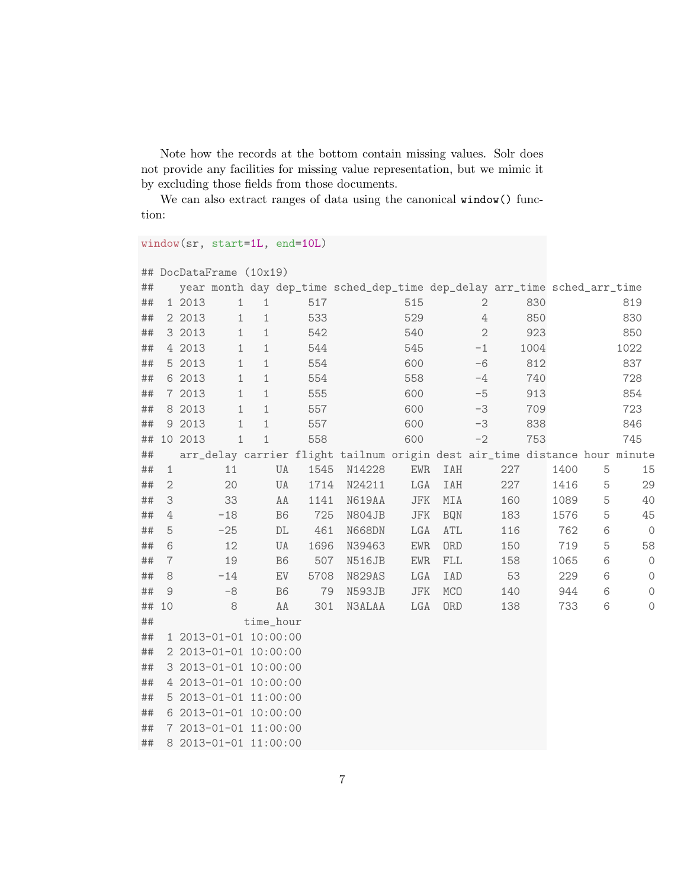Note how the records at the bottom contain missing values. Solr does not provide any facilities for missing value representation, but we mimic it by excluding those fields from those documents.

We can also extract ranges of data using the canonical window() function:

```
window(sr, start=1L, end=10L)
```

```
## DocDataFrame (10x19)
```

| ## |                |         |                       |              |                            |      | year month day dep_time sched_dep_time dep_delay arr_time sched_arr_time   |               |             |                           |     |      |      |   |                |
|----|----------------|---------|-----------------------|--------------|----------------------------|------|----------------------------------------------------------------------------|---------------|-------------|---------------------------|-----|------|------|---|----------------|
| ## |                | 1 2013  | $\mathbf{1}$          | 1            |                            | 517  |                                                                            | 515           |             | $\mathbf{2}$              |     | 830  |      |   | 819            |
| ## |                | 2 2013  | 1                     | $\mathbf{1}$ |                            | 533  |                                                                            | 529           |             | $\ensuremath{\mathsf{4}}$ |     | 850  |      |   | 830            |
| ## |                | 3 2013  | 1                     | $\mathbf{1}$ |                            | 542  |                                                                            | 540           |             | $\mathbf{2}$              |     | 923  |      |   | 850            |
| ## |                | 4 2013  | $\mathbf 1$           | $\mathbf{1}$ |                            | 544  |                                                                            | 545           |             | $-1$                      |     | 1004 |      |   | 1022           |
| ## |                | 5 2013  | $\mathbf 1$           | $\mathbf{1}$ |                            | 554  |                                                                            | 600           |             | $-6$                      |     | 812  |      |   | 837            |
| ## |                | 6 2013  | $\mathbf{1}$          | $\mathbf{1}$ |                            | 554  |                                                                            | 558           |             | $-4$                      |     | 740  |      |   | 728            |
| ## |                | 7 2013  | $\mathbf 1$           | $\mathbf{1}$ |                            | 555  |                                                                            | 600           |             | $-5$                      |     | 913  |      |   | 854            |
| ## |                | 8 2013  | $\mathbf 1$           | $\mathbf{1}$ |                            | 557  |                                                                            | 600           |             | $-3$                      |     | 709  |      |   | 723            |
| ## |                | 9 2013  | 1                     | $1\,$        |                            | 557  |                                                                            | 600           |             | $-3$                      |     | 838  |      |   | 846            |
| ## |                | 10 2013 | $\mathbf 1$           | $\mathbf{1}$ |                            | 558  |                                                                            | 600           |             | $-2$                      |     | 753  |      |   | 745            |
| ## |                |         |                       |              |                            |      | arr_delay carrier flight tailnum origin dest air_time distance hour minute |               |             |                           |     |      |      |   |                |
| ## | $\mathbf{1}$   |         | 11                    |              | UA                         | 1545 | N14228                                                                     | ${\rm EWR}$   | IAH         |                           | 227 |      | 1400 | 5 | 15             |
| ## | $\sqrt{2}$     |         | 20                    |              | UA                         | 1714 | N24211                                                                     | LGA           | IAH         |                           | 227 |      | 1416 | 5 | 29             |
| ## | 3              |         | 33                    |              | AA                         | 1141 | N619AA                                                                     | JFK           | MIA         |                           | 160 |      | 1089 | 5 | 40             |
| ## | $\overline{4}$ |         | $-18$                 |              | B <sub>6</sub>             | 725  | N804JB                                                                     | $_{\rm{JFK}}$ | <b>BQN</b>  |                           | 183 |      | 1576 | 5 | 45             |
| ## | 5              |         | $-25$                 |              | DL                         | 461  | N668DN                                                                     | ${\rm LGA}$   | ATL         |                           | 116 |      | 762  | 6 | $\circledcirc$ |
| ## | 6              |         | 12                    |              | UA                         | 1696 | N39463                                                                     | <b>EWR</b>    | ORD         |                           | 150 |      | 719  | 5 | 58             |
| ## | $\overline{7}$ |         | 19                    |              | B <sub>6</sub>             | 507  | N516JB                                                                     | ${\rm EWR}$   | ${\rm FLL}$ |                           | 158 |      | 1065 | 6 | $\circledcirc$ |
| ## | 8              |         | $-14$                 |              | $\mathop{\rm EV}\nolimits$ | 5708 | N829AS                                                                     | ${\rm LGA}$   | IAD         |                           | 53  |      | 229  | 6 | $\circ$        |
| ## | $\mathcal{G}$  |         | $-8$                  |              | B <sub>6</sub>             | 79   | N593JB                                                                     | JFK           | <b>MCO</b>  |                           | 140 |      | 944  | 6 | $\circ$        |
| ## | 10             |         | 8                     |              | AA                         | 301  | <b>N3ALAA</b>                                                              | LGA           | <b>ORD</b>  |                           | 138 |      | 733  | 6 | $\circ$        |
| ## |                |         |                       | time_hour    |                            |      |                                                                            |               |             |                           |     |      |      |   |                |
| ## |                |         | 1 2013-01-01 10:00:00 |              |                            |      |                                                                            |               |             |                           |     |      |      |   |                |
| ## |                |         | 2 2013-01-01 10:00:00 |              |                            |      |                                                                            |               |             |                           |     |      |      |   |                |
| ## |                |         | 3 2013-01-01 10:00:00 |              |                            |      |                                                                            |               |             |                           |     |      |      |   |                |
| ## |                |         | 4 2013-01-01 10:00:00 |              |                            |      |                                                                            |               |             |                           |     |      |      |   |                |
| ## |                |         | 5 2013-01-01 11:00:00 |              |                            |      |                                                                            |               |             |                           |     |      |      |   |                |
| ## |                |         | 6 2013-01-01 10:00:00 |              |                            |      |                                                                            |               |             |                           |     |      |      |   |                |
| ## |                |         | 7 2013-01-01 11:00:00 |              |                            |      |                                                                            |               |             |                           |     |      |      |   |                |
| ## |                |         | 8 2013-01-01 11:00:00 |              |                            |      |                                                                            |               |             |                           |     |      |      |   |                |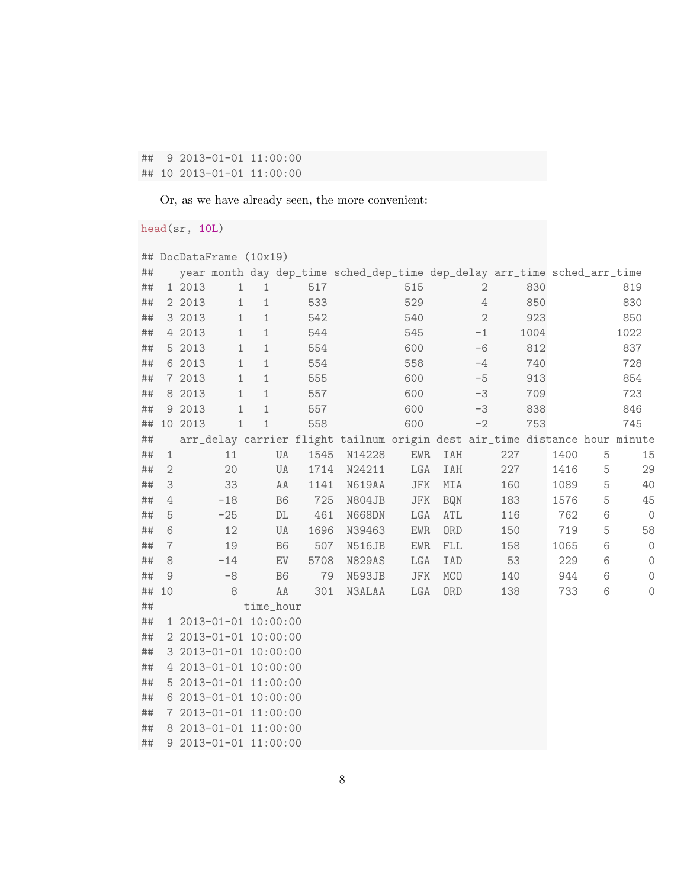## 9 2013-01-01 11:00:00 ## 10 2013-01-01 11:00:00

Or, as we have already seen, the more convenient:

head(sr, 10L)

| ## |                |         | DocDataFrame (10x19)    |              |                |      |                                                                            |               |                |                  |     |      |      |   |         |
|----|----------------|---------|-------------------------|--------------|----------------|------|----------------------------------------------------------------------------|---------------|----------------|------------------|-----|------|------|---|---------|
| ## |                |         |                         |              |                |      | year month day dep_time sched_dep_time dep_delay arr_time sched_arr_time   |               |                |                  |     |      |      |   |         |
| ## |                | 1 2013  | $\mathbf{1}$            | $\mathbf{1}$ |                | 517  |                                                                            | 515           |                | $\sqrt{2}$       |     | 830  |      |   | 819     |
| ## |                | 2 2013  | $\mathbf{1}$            | $1\,$        |                | 533  |                                                                            | 529           |                | $\ensuremath{4}$ |     | 850  |      |   | 830     |
| ## |                | 3 2013  | 1                       | 1            |                | 542  |                                                                            | 540           |                | $\overline{2}$   |     | 923  |      |   | 850     |
| ## |                | 4 2013  | $\mathbf{1}$            | $1\,$        |                | 544  |                                                                            | 545           |                | $-1$             |     | 1004 |      |   | 1022    |
| ## |                | 5 2013  | 1                       | $1\,$        |                | 554  |                                                                            | 600           |                | $-6$             |     | 812  |      |   | 837     |
| ## |                | 6 2013  | $\mathbf{1}$            | $1\,$        |                | 554  |                                                                            | 558           |                | $-4$             |     | 740  |      |   | 728     |
| ## |                | 7 2013  | 1                       | $1\,$        |                | 555  |                                                                            | 600           |                | $-5$             |     | 913  |      |   | 854     |
| ## |                | 8 2013  | $\mathbf{1}$            | $\mathbf{1}$ |                | 557  |                                                                            | 600           |                | $-3$             |     | 709  |      |   | 723     |
| ## |                | 9 2013  | 1                       | 1            |                | 557  |                                                                            | 600           |                | $-3$             |     | 838  |      |   | 846     |
| ## |                | 10 2013 | 1                       | $\mathbf 1$  |                | 558  |                                                                            | 600           |                | $-2$             |     | 753  |      |   | 745     |
| ## |                |         |                         |              |                |      | arr_delay carrier flight tailnum origin dest air_time distance hour minute |               |                |                  |     |      |      |   |         |
| ## | $1\,$          |         | 11                      |              | UA             | 1545 | N14228                                                                     | EWR           | IAH            |                  | 227 |      | 1400 | 5 | 15      |
| ## | $\sqrt{2}$     |         | 20                      |              | UA             | 1714 | N24211                                                                     | LGA           | IAH            |                  | 227 |      | 1416 | 5 | 29      |
| ## | 3              |         | 33                      |              | AA             | 1141 | N619AA                                                                     | ${\rm JFK}$   | $\texttt{MIA}$ |                  | 160 |      | 1089 | 5 | 40      |
| ## | 4              |         | $-18$                   |              | B <sub>6</sub> | 725  | N804JB                                                                     | JFK           | <b>BQN</b>     |                  | 183 |      | 1576 | 5 | 45      |
| ## | 5              |         | $-25$                   |              | $\mathbb{DL}$  | 461  | N668DN                                                                     | LGA           | ATL            |                  | 116 |      | 762  | 6 | $\circ$ |
| ## | 6              |         | 12                      |              | UA             | 1696 | N39463                                                                     | <b>EWR</b>    | ORD            |                  | 150 |      | 719  | 5 | 58      |
| ## | $\overline{7}$ |         | 19                      |              | B <sub>6</sub> | 507  | N516JB                                                                     | <b>EWR</b>    | ${\rm FLL}$    |                  | 158 |      | 1065 | 6 | $\circ$ |
| ## | $\rm 8$        |         | $-14$                   |              | EV             | 5708 | <b>N829AS</b>                                                              | LGA           | IAD            |                  | 53  |      | 229  | 6 | $\circ$ |
| ## | $\mathcal{G}$  |         | $-8$                    |              | B <sub>6</sub> | 79   | N593JB                                                                     | $_{\rm{JFK}}$ | MCO            |                  | 140 |      | 944  | 6 | $\circ$ |
| ## | 10             |         | 8                       |              | AA             | 301  | N3ALAA                                                                     | LGA           | ORD            |                  | 138 |      | 733  | 6 | 0       |
| ## |                |         |                         | time_hour    |                |      |                                                                            |               |                |                  |     |      |      |   |         |
| ## |                |         | 1 2013-01-01 10:00:00   |              |                |      |                                                                            |               |                |                  |     |      |      |   |         |
| ## |                |         | 2 2013-01-01 10:00:00   |              |                |      |                                                                            |               |                |                  |     |      |      |   |         |
| ## |                |         | 3 2013-01-01 10:00:00   |              |                |      |                                                                            |               |                |                  |     |      |      |   |         |
| ## |                |         | 4 2013-01-01 10:00:00   |              |                |      |                                                                            |               |                |                  |     |      |      |   |         |
| ## |                |         | 5 2013-01-01 11:00:00   |              |                |      |                                                                            |               |                |                  |     |      |      |   |         |
| ## |                |         | 6 2013-01-01 10:00:00   |              |                |      |                                                                            |               |                |                  |     |      |      |   |         |
| ## |                |         | 7 2013-01-01 11:00:00   |              |                |      |                                                                            |               |                |                  |     |      |      |   |         |
| ## |                |         | 8 2013-01-01 11:00:00   |              |                |      |                                                                            |               |                |                  |     |      |      |   |         |
| ## |                |         | $9$ 2013-01-01 11:00:00 |              |                |      |                                                                            |               |                |                  |     |      |      |   |         |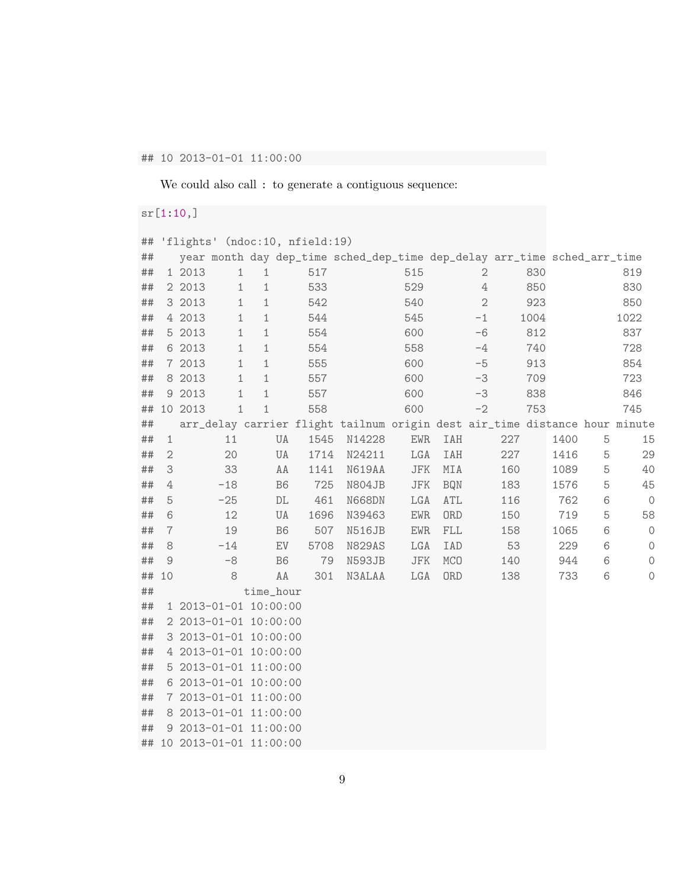## ## 10 2013-01-01 11:00:00

We could also call : to generate a contiguous sequence:

## sr[1:10,]

| ## |                  | 'flights' (ndoc:10, nfield:19)                                             |                |      |        |               |             |                  |     |      |      |   |         |
|----|------------------|----------------------------------------------------------------------------|----------------|------|--------|---------------|-------------|------------------|-----|------|------|---|---------|
| ## |                  | year month day dep_time sched_dep_time dep_delay arr_time sched_arr_time   |                |      |        |               |             |                  |     |      |      |   |         |
| ## |                  | 1 2013<br>$\mathbf{1}$                                                     | $\mathbf{1}$   | 517  |        | 515           |             | 2                |     | 830  |      |   | 819     |
| ## |                  | 2 2013<br>1                                                                | $\mathbf 1$    | 533  |        | 529           |             | $\ensuremath{4}$ |     | 850  |      |   | 830     |
| ## |                  | 3 2013<br>$\mathbf{1}$                                                     | $\mathbf{1}$   | 542  |        | 540           |             | $\overline{2}$   |     | 923  |      |   | 850     |
| ## |                  | 4 2013<br>$\mathbf 1$                                                      | $\mathbf{1}$   | 544  |        | 545           |             | $-1$             |     | 1004 |      |   | 1022    |
| ## |                  | 5 2013<br>$\mathbf 1$                                                      | $\mathbf 1$    | 554  |        | 600           |             | $-6$             |     | 812  |      |   | 837     |
| ## |                  | 6 2013<br>1                                                                | $\mathbf{1}$   | 554  |        | 558           |             | $-4$             |     | 740  |      |   | 728     |
| ## |                  | 7 2013<br>$\mathbf 1$                                                      | $1\,$          | 555  |        | 600           |             | $-5$             |     | 913  |      |   | 854     |
| ## |                  | 8 2013<br>1                                                                | $\mathbf{1}$   | 557  |        | 600           |             | $-3$             |     | 709  |      |   | 723     |
| ## |                  | 9 2013<br>$\mathbf{1}$                                                     | $1\,$          | 557  |        | 600           |             | $-3$             |     | 838  |      |   | 846     |
| ## |                  | 10 2013<br>1                                                               | $\mathbf{1}$   | 558  |        | 600           |             | $-2$             |     | 753  |      |   | 745     |
| ## |                  | arr_delay carrier flight tailnum origin dest air_time distance hour minute |                |      |        |               |             |                  |     |      |      |   |         |
| ## | $\mathbf{1}$     | 11                                                                         | UA             | 1545 | N14228 | ${\rm EWR}$   | IAH         |                  | 227 |      | 1400 | 5 | 15      |
| ## | $\mathbf{2}$     | 20                                                                         | UA             | 1714 | N24211 | LGA           | IAH         |                  | 227 |      | 1416 | 5 | 29      |
| ## | 3                | 33                                                                         | AA             | 1141 | N619AA | JFK           | MIA         |                  | 160 |      | 1089 | 5 | 40      |
| ## | $\ensuremath{4}$ | $-18$                                                                      | B <sub>6</sub> | 725  | N804JB | $_{\rm{JFK}}$ | <b>BQN</b>  |                  | 183 |      | 1576 | 5 | 45      |
| ## | 5                | $-25$                                                                      | $\mathbb{DL}$  | 461  | N668DN | LGA           | ATL         |                  | 116 |      | 762  | 6 | $\circ$ |
| ## | 6                | 12                                                                         | UA             | 1696 | N39463 | <b>EWR</b>    | ORD         |                  | 150 |      | 719  | 5 | 58      |
| ## | $\overline{7}$   | 19                                                                         | B <sub>6</sub> | 507  | N516JB | ${\rm EWR}$   | ${\rm FLL}$ |                  | 158 |      | 1065 | 6 | $\circ$ |
| ## | 8                | $-14$                                                                      | EV             | 5708 | N829AS | LGA           | IAD         |                  | 53  |      | 229  | 6 | $\circ$ |
| ## | 9                | $-8$                                                                       | B <sub>6</sub> | 79   | N593JB | ${\rm JFK}$   | <b>MCO</b>  |                  | 140 |      | 944  | 6 | $\circ$ |
| ## | 10               | 8                                                                          | AA             | 301  | N3ALAA | LGA           | ORD         |                  | 138 |      | 733  | 6 | $\circ$ |
| ## |                  |                                                                            | time_hour      |      |        |               |             |                  |     |      |      |   |         |
| ## |                  | 1 2013-01-01 10:00:00                                                      |                |      |        |               |             |                  |     |      |      |   |         |
| ## |                  | 2 2013-01-01 10:00:00                                                      |                |      |        |               |             |                  |     |      |      |   |         |
| ## |                  | 3 2013-01-01 10:00:00                                                      |                |      |        |               |             |                  |     |      |      |   |         |
| ## |                  | 4 2013-01-01 10:00:00                                                      |                |      |        |               |             |                  |     |      |      |   |         |
| ## |                  | 5 2013-01-01 11:00:00                                                      |                |      |        |               |             |                  |     |      |      |   |         |
| ## |                  | 6 2013-01-01 10:00:00                                                      |                |      |        |               |             |                  |     |      |      |   |         |
| ## |                  | 7 2013-01-01 11:00:00                                                      |                |      |        |               |             |                  |     |      |      |   |         |
| ## |                  | 8 2013-01-01 11:00:00                                                      |                |      |        |               |             |                  |     |      |      |   |         |
| ## |                  | 9 2013-01-01 11:00:00                                                      |                |      |        |               |             |                  |     |      |      |   |         |
| ## |                  | 10 2013-01-01 11:00:00                                                     |                |      |        |               |             |                  |     |      |      |   |         |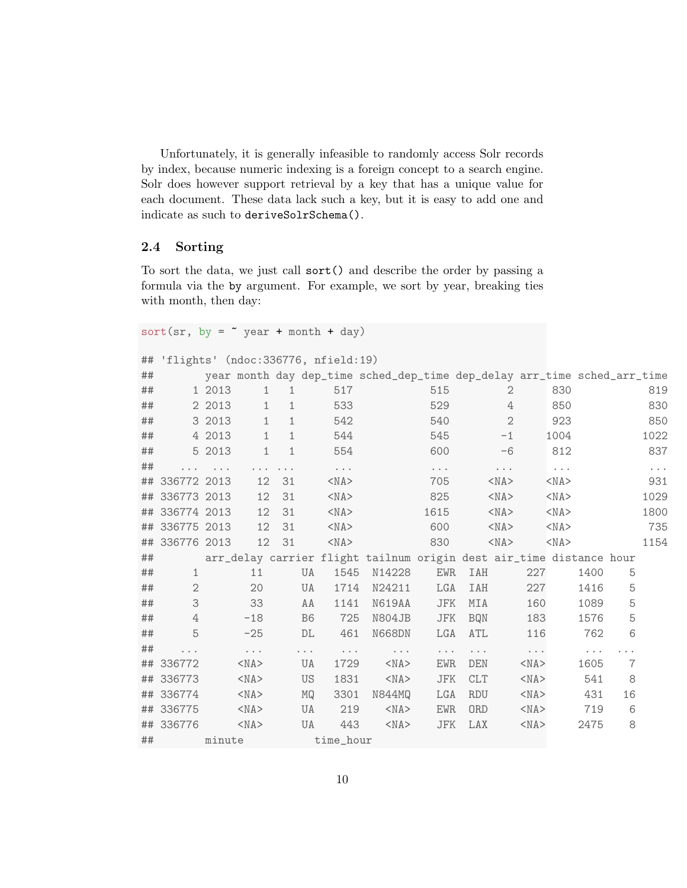Unfortunately, it is generally infeasible to randomly access Solr records by index, because numeric indexing is a foreign concept to a search engine. Solr does however support retrieval by a key that has a unique value for each document. These data lack such a key, but it is easy to add one and indicate as such to deriveSolrSchema().

## 2.4 Sorting

To sort the data, we just call sort() and describe the order by passing a formula via the by argument. For example, we sort by year, breaking ties with month, then day:

sort(sr, by =  $\sim$  year + month + day)

```
## 'flights' (ndoc:336776, nfield:19)
```

| ## |                |          |                      |              |                |                      | year month day dep_time sched_dep_time dep_delay arr_time sched_arr_time |                      |            |              |                      |                      |          |    |          |
|----|----------------|----------|----------------------|--------------|----------------|----------------------|--------------------------------------------------------------------------|----------------------|------------|--------------|----------------------|----------------------|----------|----|----------|
| ## |                | 1 2013   | $\mathbf{1}$         | 1            |                | 517                  |                                                                          | 515                  |            | 2            |                      | 830                  |          |    | 819      |
| ## |                | 2 2013   | $\mathbf{1}$         | $\mathbf{1}$ |                | 533                  |                                                                          | 529                  |            | 4            |                      | 850                  |          |    | 830      |
| ## |                | 3 2013   | $\mathbf{1}$         | $\mathbf{1}$ |                | 542                  |                                                                          | 540                  |            | $\mathbf{2}$ |                      | 923                  |          |    | 850      |
| ## |                | 4 2013   | $\mathbf{1}$         | $\mathbf{1}$ |                | 544                  |                                                                          | 545                  |            | $-1$         |                      | 1004                 |          |    | 1022     |
| ## |                | 5 2013   | $\mathbf 1$          | $\mathbf{1}$ |                | 554                  |                                                                          | 600                  |            | $-6$         |                      | 812                  |          |    | 837      |
| ## |                | $\cdots$ |                      | .            |                | $\sim$ $\sim$ $\sim$ |                                                                          | $\sim$ $\sim$ $\sim$ |            | $\cdots$     |                      | $\sim$ $\sim$ $\sim$ |          |    | $\cdots$ |
|    | ## 336772 2013 |          | 12                   | 31           |                | $<$ NA $>$           |                                                                          | 705                  |            | $<$ NA $>$   |                      | $<$ NA $>$           |          |    | 931      |
|    | ## 336773 2013 |          | 12                   | 31           |                | $<$ NA $>$           |                                                                          | 825                  |            | $<$ NA $>$   |                      | $<$ NA $>$           |          |    | 1029     |
|    | ## 336774 2013 |          | 12                   | 31           |                | $<$ NA $>$           |                                                                          | 1615                 |            | $<$ NA $>$   |                      | $<$ NA $>$           |          |    | 1800     |
|    | ## 336775 2013 |          | 12                   | 31           |                | $<$ NA $>$           |                                                                          | 600                  |            | $<$ NA $>$   |                      | $<$ NA $>$           |          |    | 735      |
|    | ## 336776 2013 |          | 12                   | 31           |                | $<$ NA $>$           |                                                                          | 830                  |            | $<$ NA $>$   |                      | $<$ NA $>$           |          |    | 1154     |
| ## |                |          |                      |              |                |                      | arr_delay carrier flight tailnum origin dest air_time distance hour      |                      |            |              |                      |                      |          |    |          |
| ## | $\mathbf{1}$   |          | 11                   |              | <b>UA</b>      | 1545                 | N14228                                                                   | <b>EWR</b>           | <b>IAH</b> |              | 227                  |                      | 1400     | 5  |          |
| ## | $\mathbf{2}$   |          | 20                   |              | UA             | 1714                 | N24211                                                                   | LGA                  | IAH        |              | 227                  |                      | 1416     | 5  |          |
| ## | 3              |          | 33                   |              | AA             | 1141                 | N619AA                                                                   | JFK                  | MIA        |              | 160                  |                      | 1089     | 5  |          |
| ## | $\overline{4}$ |          | $-18$                |              | B <sub>6</sub> | 725                  | N804JB                                                                   | ${\rm JFK}$          | <b>BQN</b> |              | 183                  |                      | 1576     | 5  |          |
| ## | 5              |          | $-25$                |              | DL             | 461                  | N668DN                                                                   | LGA                  | ATL        |              | 116                  |                      | 762      | 6  |          |
| ## |                |          | $\sim$ $\sim$ $\sim$ |              | $\cdots$       | $\sim$ $\sim$ $\sim$ | $\cdots$                                                                 | $\cdots$             | $\cdots$   |              | $\sim$ $\sim$ $\sim$ |                      | $\cdots$ |    |          |
|    | ## 336772      |          | $<$ NA $>$           |              | UA             | 1729                 | $<$ NA $>$                                                               | <b>EWR</b>           | <b>DEN</b> |              | $<$ NA $>$           |                      | 1605     | 7  |          |
|    | ## 336773      |          | $<$ NA $>$           |              | <b>US</b>      | 1831                 | $<$ NA $>$                                                               | <b>JFK</b>           | <b>CLT</b> |              | $<$ NA $>$           |                      | 541      | 8  |          |
|    | ## 336774      |          | $<$ NA $>$           |              | MQ             | 3301                 | N844MQ                                                                   | LGA                  | <b>RDU</b> |              | $<$ NA $>$           |                      | 431      | 16 |          |
|    | ## 336775      |          | $<$ NA $>$           |              | UA             | 219                  | $<$ NA $>$                                                               | <b>EWR</b>           | <b>ORD</b> |              | $<$ NA $>$           |                      | 719      | 6  |          |
|    | ## 336776      |          | $<$ NA $>$           |              | UA             | 443                  | $<$ NA $>$                                                               | ${\rm JFK}$          | LAX        |              | $<$ NA $>$           |                      | 2475     | 8  |          |
| ## |                | minute   |                      |              |                | time_hour            |                                                                          |                      |            |              |                      |                      |          |    |          |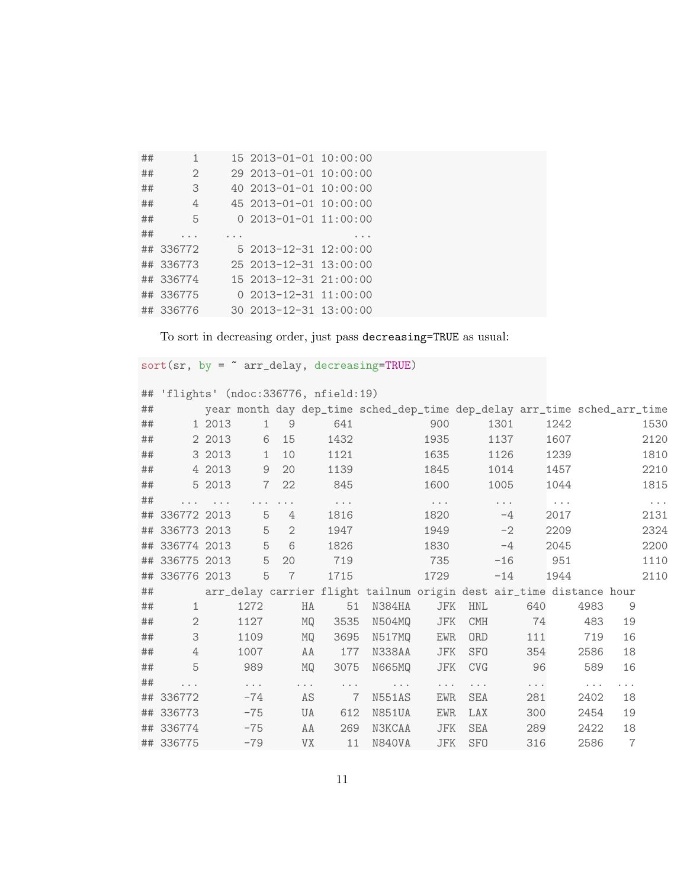| ## | 1                           | $152013 - 01 - 01$          | 10:00:00 |
|----|-----------------------------|-----------------------------|----------|
| ## | $\mathcal{D}_{\mathcal{L}}$ | $292013 - 01 - 01$          | 10:00:00 |
| ## | 3                           | $402013 - 01 - 01$          | 10:00:00 |
| ## | 4                           | 45 2013-01-01 10:00:00      |          |
| ## | 5                           | $0.2013 - 01 - 01.11:00:00$ |          |
| ## |                             |                             |          |
| ## | 336772                      | 5 2013-12-31 12:00:00       |          |
| ## | 336773                      | 25 2013-12-31 13:00:00      |          |
| ## | 336774                      | 15 2013-12-31 21:00:00      |          |
| ## | 336775                      | $0.2013 - 12 - 31.11:00:00$ |          |
|    | ## 336776                   | 30 2013-12-31 13:00:00      |          |

To sort in decreasing order, just pass decreasing=TRUE as usual:

 $sort(sr, by = "arr-delay, decreasing=True)$ 

|  |  | ## 'flights' (ndoc:336776, nfield:19) |  |
|--|--|---------------------------------------|--|
|--|--|---------------------------------------|--|

| ## |                |          |                      |                |           |                      | year month day dep_time sched_dep_time dep_delay arr_time sched_arr_time |                      |            |                      |                      |                      |                      |                |                      |
|----|----------------|----------|----------------------|----------------|-----------|----------------------|--------------------------------------------------------------------------|----------------------|------------|----------------------|----------------------|----------------------|----------------------|----------------|----------------------|
| ## |                | 1 2013   | $\mathbf{1}$         | 9              |           | 641                  |                                                                          | 900                  |            | 1301                 |                      | 1242                 |                      |                | 1530                 |
| ## |                | 2 2013   | 6                    | 15             |           | 1432                 |                                                                          | 1935                 |            | 1137                 |                      | 1607                 |                      |                | 2120                 |
| ## |                | 3 2013   | $\mathbf{1}$         | 10             |           | 1121                 |                                                                          | 1635                 |            | 1126                 |                      | 1239                 |                      |                | 1810                 |
| ## |                | 4 2013   | 9                    | 20             |           | 1139                 |                                                                          | 1845                 |            | 1014                 |                      | 1457                 |                      |                | 2210                 |
| ## |                | 5 2013   | $\overline{7}$       | 22             |           | 845                  |                                                                          | 1600                 |            | 1005                 |                      | 1044                 |                      |                | 1815                 |
| ## |                | $\cdots$ |                      |                |           | $\sim$ $\sim$ $\sim$ |                                                                          | $\sim$ $\sim$ $\sim$ |            | $\sim$ $\sim$ $\sim$ |                      | $\sim$ $\sim$ $\sim$ |                      |                | $\sim$ $\sim$ $\sim$ |
|    | ## 336772 2013 |          | 5                    | 4              |           | 1816                 |                                                                          | 1820                 |            | $-4$                 |                      | 2017                 |                      |                | 2131                 |
|    | ## 336773 2013 |          | 5                    | $\overline{2}$ |           | 1947                 |                                                                          | 1949                 |            | $-2$                 |                      | 2209                 |                      |                | 2324                 |
|    | ## 336774 2013 |          | 5                    | 6              |           | 1826                 |                                                                          | 1830                 |            | $-4$                 |                      | 2045                 |                      |                | 2200                 |
|    | ## 336775 2013 |          | 5                    | 20             |           | 719                  |                                                                          | 735                  |            | $-16$                |                      | 951                  |                      |                | 1110                 |
|    | ## 336776 2013 |          | 5                    | $\overline{7}$ |           | 1715                 |                                                                          | 1729                 |            | $-14$                |                      | 1944                 |                      |                | 2110                 |
| ## |                |          |                      |                |           |                      | arr_delay carrier flight tailnum origin dest air_time distance hour      |                      |            |                      |                      |                      |                      |                |                      |
| ## | $\mathbf 1$    |          | 1272                 |                | HA        | 51                   | N384HA                                                                   | JFK                  | <b>HNL</b> |                      | 640                  |                      | 4983                 | 9              |                      |
| ## | $\mathbf{2}$   |          | 1127                 |                | MQ        | 3535                 | N504MQ                                                                   | JFK                  | <b>CMH</b> |                      | 74                   |                      | 483                  | 19             |                      |
| ## | 3              |          | 1109                 |                | MQ        | 3695                 | N517MQ                                                                   | <b>EWR</b>           | ORD        |                      | 111                  |                      | 719                  | 16             |                      |
| ## | 4              |          | 1007                 |                | AA        | 177                  | N338AA                                                                   | JFK                  | <b>SFO</b> |                      | 354                  |                      | 2586                 | 18             |                      |
| ## | 5              |          | 989                  |                | MQ        | 3075                 | <b>N665MQ</b>                                                            | JFK                  | <b>CVG</b> |                      | 96                   |                      | 589                  | 16             |                      |
| ## | $\cdots$       |          | $\sim$ $\sim$ $\sim$ |                | $\cdots$  | $\sim$ $\sim$ $\sim$ | $\cdots$                                                                 | $\cdots$             | $\cdots$   |                      | $\sim$ $\sim$ $\sim$ |                      | $\sim$ $\sim$ $\sim$ | .              |                      |
|    | ## 336772      |          | $-74$                |                | AS        | $\overline{7}$       | N551AS                                                                   | <b>EWR</b>           | SEA        |                      | 281                  |                      | 2402                 | 18             |                      |
|    | ## 336773      |          | $-75$                |                | UA        | 612                  | <b>N851UA</b>                                                            | <b>EWR</b>           | LAX        |                      | 300                  |                      | 2454                 | 19             |                      |
|    | ## 336774      |          | $-75$                |                | AA        | 269                  | <b>N3KCAA</b>                                                            | <b>JFK</b>           | SEA        |                      | 289                  |                      | 2422                 | 18             |                      |
|    | ## 336775      |          | $-79$                |                | <b>VX</b> | 11                   | <b>N840VA</b>                                                            | JFK                  | <b>SFO</b> |                      | 316                  |                      | 2586                 | $\overline{7}$ |                      |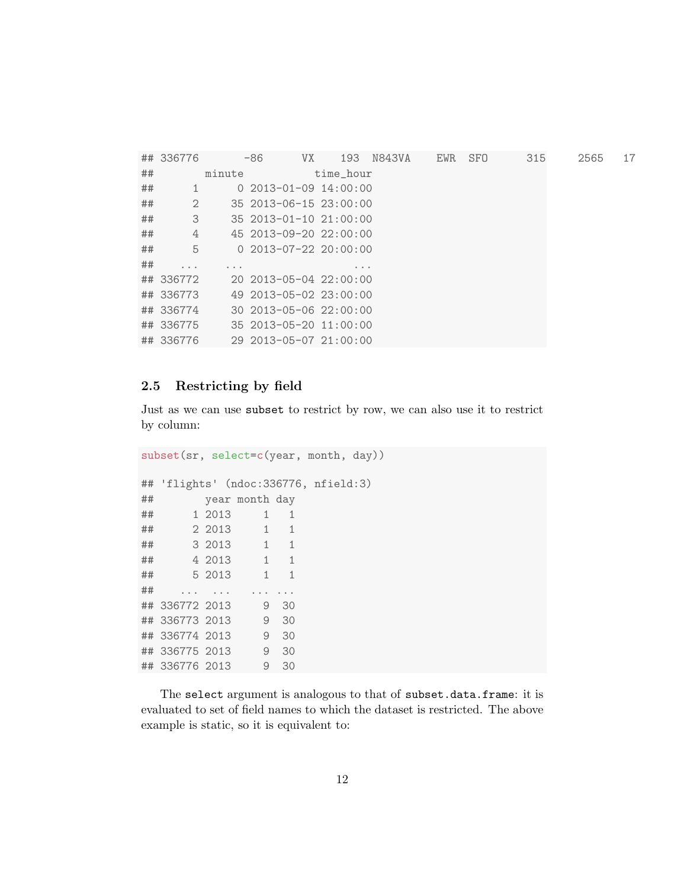|    | ## 336776               |                         | $-86$<br>VX                    | 193       | N843VA | EWR | <b>SFO</b> | 315 | 2565 | 17 |
|----|-------------------------|-------------------------|--------------------------------|-----------|--------|-----|------------|-----|------|----|
| ## |                         | minute                  |                                | time_hour |        |     |            |     |      |    |
| ## | $\mathbf{1}$            |                         | $0.2013 - 01 - 09.14:00:00$    |           |        |     |            |     |      |    |
| ## | 2                       |                         | 35 2013-06-15 23:00:00         |           |        |     |            |     |      |    |
| ## | 3                       |                         | $35\ 2013 - 01 - 10\ 21:00:00$ |           |        |     |            |     |      |    |
| ## | 4                       |                         | 45 2013-09-20 22:00:00         |           |        |     |            |     |      |    |
| ## | 5                       |                         | $0$ 2013-07-22 20:00:00        |           |        |     |            |     |      |    |
| ## | $\cdot$ $\cdot$ $\cdot$ | $\cdot$ $\cdot$ $\cdot$ |                                | $\cdots$  |        |     |            |     |      |    |
|    | ## 336772               |                         | $202013 - 05 - 0422:00:00$     |           |        |     |            |     |      |    |
|    | ## 336773               |                         | 49 2013-05-02 23:00:00         |           |        |     |            |     |      |    |
|    | ## 336774               |                         | 30 2013-05-06 22:00:00         |           |        |     |            |     |      |    |
|    | ## 336775               |                         | 35 2013-05-20 11:00:00         |           |        |     |            |     |      |    |
|    | ## 336776               |                         | 29 2013-05-07 21:00:00         |           |        |     |            |     |      |    |

#### 2.5 Restricting by field

Just as we can use subset to restrict by row, we can also use it to restrict by column:

subset(sr, select=c(year, month, day)) ## 'flights' (ndoc:336776, nfield:3) ## year month day ## 1 2013 1 1 ## 2 2013 1 1 ## 3 2013 1 1 ## 4 2013 1 1 ## 5 2013 1 1 ## .... ... ... ... ## 336772 2013 9 30 ## 336773 2013 9 30 ## 336774 2013 9 30 ## 336775 2013 9 30 ## 336776 2013 9 30

The select argument is analogous to that of subset.data.frame: it is evaluated to set of field names to which the dataset is restricted. The above example is static, so it is equivalent to: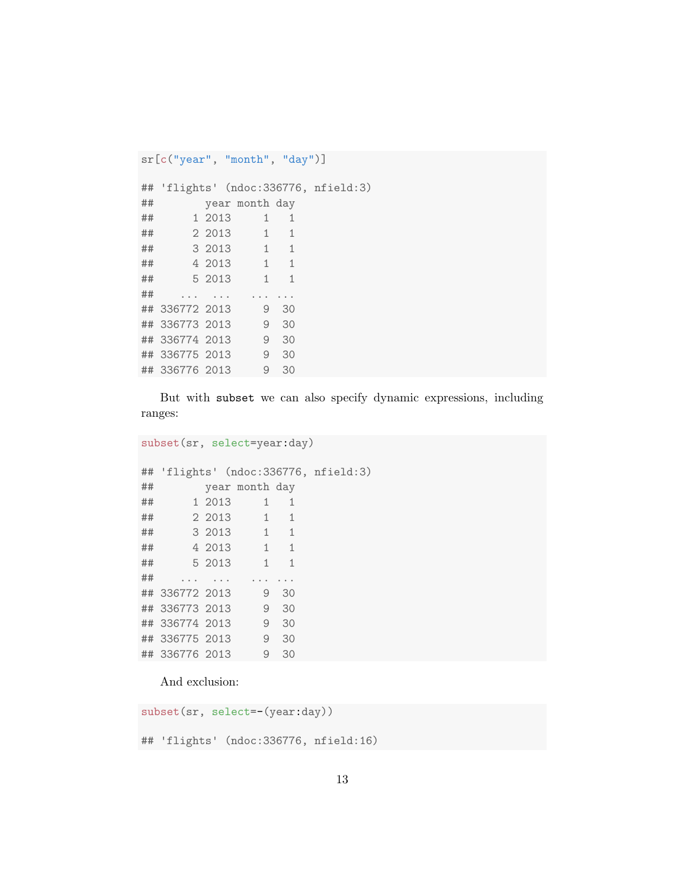```
sr[c("year", "month", "day")]
## 'flights' (ndoc:336776, nfield:3)
## year month day
## 1 2013 1 1
## 2 2013 1 1
## 3 2013 1 1
## 4 2013 1 1
## 5 2013 1 1
## ... ... ... ...
## 336772 2013 9 30
## 336773 2013 9 30
## 336774 2013 9 30
## 336775 2013 9 30
## 336776 2013 9 30
```
But with subset we can also specify dynamic expressions, including ranges:

subset(sr, select=year:day)

|    |                                      |                | ## 'flights' (ndoc:336776, nfield:3) |
|----|--------------------------------------|----------------|--------------------------------------|
| ## |                                      | year month day |                                      |
| ## | 1 2013 1 1                           |                |                                      |
|    | ## 2 2013 1 1                        |                |                                      |
|    | ## 3 2013 1 1                        |                |                                      |
|    | ## 4 2013 1 1                        |                |                                      |
|    | ## 5 2013 1 1                        |                |                                      |
| ## | $\sim$ 100 $\pm$ 100 $\pm$ 100 $\pm$ |                |                                      |
|    | ## 336772 2013 9 30                  |                |                                      |
|    | ## 336773 2013 9 30                  |                |                                      |
|    | ## 336774 2013 9 30                  |                |                                      |
|    | ## 336775 2013 9 30                  |                |                                      |
|    | ## 336776 2013 9 30                  |                |                                      |

And exclusion:

```
subset(sr, select=-(year:day))
```
## 'flights' (ndoc:336776, nfield:16)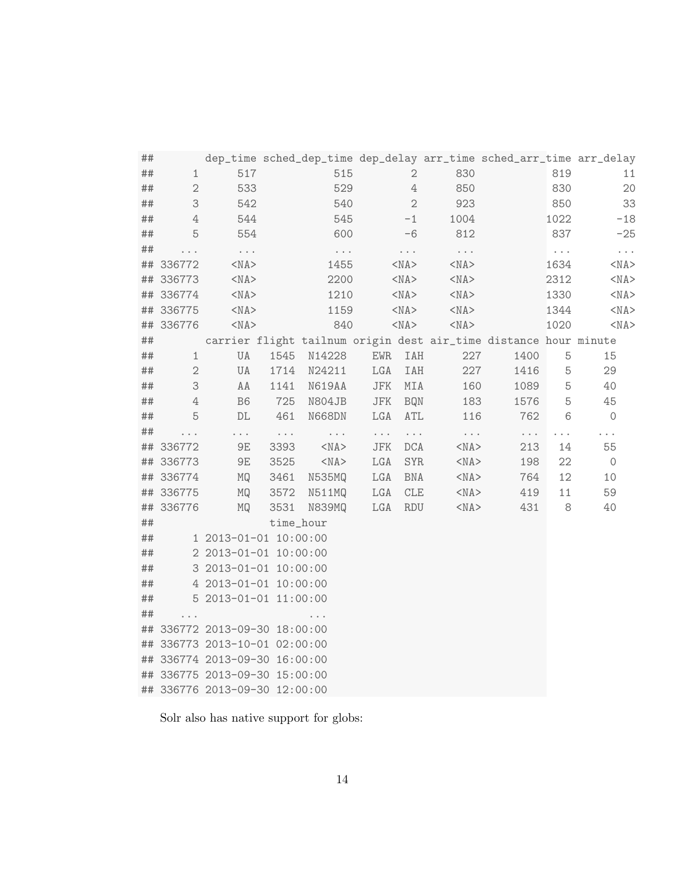| ##      |                |                                  |                                   |                                  |                                  |                                  |                               | dep_time sched_dep_time dep_delay arr_time sched_arr_time arr_delay |               |                                  |
|---------|----------------|----------------------------------|-----------------------------------|----------------------------------|----------------------------------|----------------------------------|-------------------------------|---------------------------------------------------------------------|---------------|----------------------------------|
| $\# \#$ | $\mathbf 1$    | 517                              |                                   | 515                              |                                  | $\sqrt{2}$                       | 830                           |                                                                     | 819           | 11                               |
| ##      | $\sqrt{2}$     | 533                              |                                   | 529                              |                                  | $\ensuremath{4}$                 | 850                           |                                                                     | 830           | 20                               |
| ##      | 3              | 542                              |                                   | 540                              |                                  | $\overline{2}$                   | 923                           |                                                                     | 850           | 33                               |
| ##      | 4              | 544                              |                                   | 545                              |                                  | $-1$                             | 1004                          |                                                                     | 1022          | $-18$                            |
| ##      | 5              | 554                              |                                   | 600                              |                                  | -6                               | 812                           |                                                                     | 837           | $-25$                            |
| ##      | .              | $\epsilon \rightarrow -\epsilon$ |                                   | $\epsilon \rightarrow -\epsilon$ |                                  | $\epsilon \rightarrow -\epsilon$ | $\sim$ $\sim$                 |                                                                     | $\sim$ $\sim$ | $\epsilon \rightarrow -\epsilon$ |
|         | ## 336772      | $<$ NA $>$                       |                                   | 1455                             |                                  | $<$ NA $>$                       | $<$ NA $>$                    |                                                                     | 1634          | $<$ NA $>$                       |
|         | ## 336773      | $<$ NA $>$                       |                                   | 2200                             |                                  | $<$ NA $>$                       | $<$ NA $>$                    |                                                                     | 2312          | $<$ NA $>$                       |
|         | ## 336774      | $<$ NA $>$                       |                                   | 1210                             |                                  | $<$ NA $>$                       | $<$ NA $>$                    |                                                                     | 1330          | $<$ NA $>$                       |
|         | ## 336775      | $<$ NA $>$                       |                                   | 1159                             |                                  | $<$ NA $>$                       | $<$ NA $>$                    |                                                                     | 1344          | $<$ NA $>$                       |
|         | ## 336776      | $<$ NA $>$                       |                                   | 840                              |                                  | $<$ NA $>$                       | $<$ NA $>$                    |                                                                     | 1020          | $<$ NA $>$                       |
| ##      |                |                                  |                                   |                                  |                                  |                                  |                               | carrier flight tailnum origin dest air_time distance hour minute    |               |                                  |
| ##      | $\mathbf{1}$   | UA                               | 1545                              | N14228                           | EWR                              | IAH                              | 227                           | 1400                                                                | 5             | 15                               |
| ##      | $\sqrt{2}$     | UA                               | 1714                              | N24211                           | LGA                              | IAH                              | 227                           | 1416                                                                | 5             | 29                               |
| ##      | 3              | AA                               | 1141                              | N619AA                           | JFK                              | MIA                              | 160                           | 1089                                                                | 5             | 40                               |
| ##      | $\overline{4}$ | B <sub>6</sub>                   | 725                               | N804JB                           | JFK                              | <b>BQN</b>                       | 183                           | 1576                                                                | 5             | 45                               |
| ##      | 5              | $\mathbb{D}\mathbb{L}$           | 461                               | N668DN                           | LGA                              | ATL                              | 116                           | 762                                                                 | 6             | $\circ$                          |
| ##      | $\cdots$       | $\ddotsc$                        | $\epsilon \rightarrow - \epsilon$ | $\epsilon \rightarrow -\epsilon$ | $\epsilon \rightarrow -\epsilon$ | $\epsilon \rightarrow -\epsilon$ | $\epsilon \rightarrow \infty$ | $\sim$ $\sim$                                                       | $\cdots$      | $\cdots$                         |
|         | ## 336772      | $9E$                             | 3393                              | $<$ NA $>$                       | JFK                              | $\rm DCA$                        | $<$ NA $>$                    | 213                                                                 | 14            | 55                               |
|         | ## 336773      | 9E                               | 3525                              | $<$ NA $>$                       | LGA                              | <b>SYR</b>                       | $<$ NA $>$                    | 198                                                                 | 22            | $\circ$                          |
|         | ## 336774      | MQ                               | 3461                              | N535MQ                           | LGA                              | <b>BNA</b>                       | $<$ NA $>$                    | 764                                                                 | 12            | 10                               |
|         | ## 336775      | MQ                               | 3572                              | N511MQ                           | LGA                              | ${\rm CLE}$                      | $<$ NA $>$                    | 419                                                                 | 11            | 59                               |
|         | ## 336776      | MQ                               | 3531                              | N839MQ                           | LGA                              | <b>RDU</b>                       | $<$ NA $>$                    | 431                                                                 | 8             | 40                               |
| ##      |                |                                  | time_hour                         |                                  |                                  |                                  |                               |                                                                     |               |                                  |
| ##      |                | 1 2013-01-01 10:00:00            |                                   |                                  |                                  |                                  |                               |                                                                     |               |                                  |
| ##      |                | 2 2013-01-01 10:00:00            |                                   |                                  |                                  |                                  |                               |                                                                     |               |                                  |
| ##      |                | 3 2013-01-01 10:00:00            |                                   |                                  |                                  |                                  |                               |                                                                     |               |                                  |
| ##      |                | 4 2013-01-01 10:00:00            |                                   |                                  |                                  |                                  |                               |                                                                     |               |                                  |
| ##      |                | 5 2013-01-01 11:00:00            |                                   |                                  |                                  |                                  |                               |                                                                     |               |                                  |
| ##      | .              |                                  |                                   | $\cdots$                         |                                  |                                  |                               |                                                                     |               |                                  |
| ##      |                | 336772 2013-09-30 18:00:00       |                                   |                                  |                                  |                                  |                               |                                                                     |               |                                  |
|         |                | ## 336773 2013-10-01 02:00:00    |                                   |                                  |                                  |                                  |                               |                                                                     |               |                                  |
|         |                | ## 336774 2013-09-30 16:00:00    |                                   |                                  |                                  |                                  |                               |                                                                     |               |                                  |
|         |                | ## 336775 2013-09-30 15:00:00    |                                   |                                  |                                  |                                  |                               |                                                                     |               |                                  |
|         |                | ## 336776 2013-09-30 12:00:00    |                                   |                                  |                                  |                                  |                               |                                                                     |               |                                  |

Solr also has native support for globs: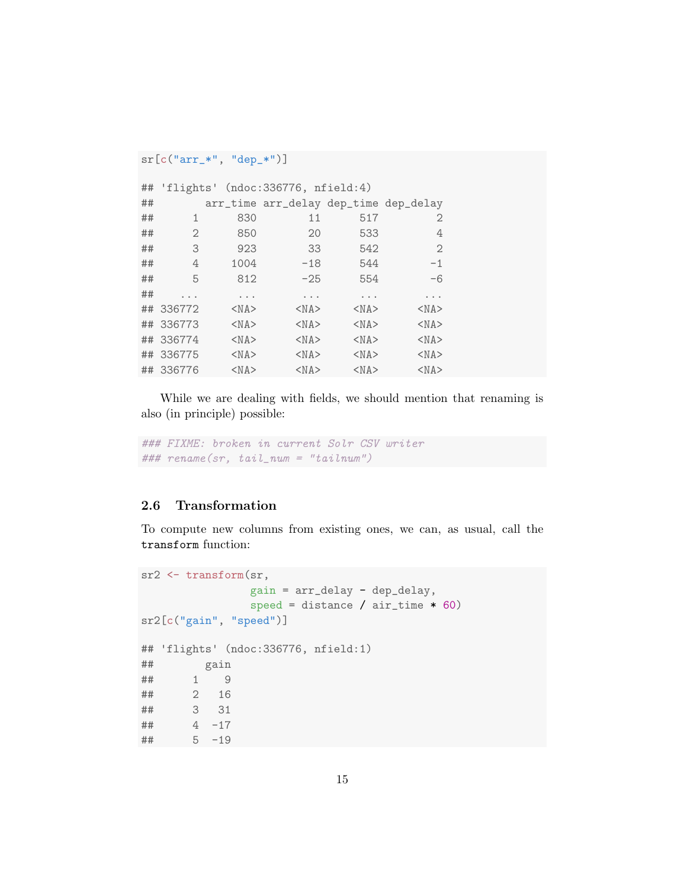```
sr[c("arr_*", "dep_*")]
```

|    | ## 'flights' (ndoc:336776, nfield:4) |            |                                       |            |              |
|----|--------------------------------------|------------|---------------------------------------|------------|--------------|
| ## |                                      |            | arr_time arr_delay dep_time dep_delay |            |              |
| ## | 1                                    | 830        | 11                                    | 517        | 2            |
| ## | 2                                    | 850        | 20                                    | 533        | 4            |
| ## | 3                                    | 923        | 33                                    | 542        | $\mathbf{2}$ |
| ## | 4                                    | 1004       | $-18$                                 | 544        | $-1$         |
| ## | 5                                    | 812        | $-25$                                 | 554        | $-6$         |
| ## |                                      | .          | $\cdots$                              | $\cdots$   | .            |
|    | ## 336772                            | $<$ NA $>$ | $<$ NA $>$                            | $<$ NA $>$ | $<$ NA $>$   |
|    | ## 336773                            | $<$ NA $>$ | $<$ NA $>$                            | $<$ NA $>$ | $<$ NA $>$   |
|    | ## 336774                            | $<$ NA $>$ | $<$ NA $>$                            | $<$ NA $>$ | $<$ NA $>$   |
|    | ## 336775                            | $<$ NA $>$ | $<$ NA $>$                            | $<$ NA $>$ | $<$ NA $>$   |
|    | ## 336776                            | $<$ NA $>$ | $<$ NA $>$                            | $<$ NA $>$ | $<$ NA $>$   |

While we are dealing with fields, we should mention that renaming is also (in principle) possible:

### FIXME: broken in current Solr CSV writer ### rename(sr, tail\_num = "tailnum")

### 2.6 Transformation

To compute new columns from existing ones, we can, as usual, call the transform function:

```
sr2 <- transform(sr,
              gain = arr_delay - dep_delay,
              speed = distance / air_time * 60)sr2[c("gain", "speed")]
## 'flights' (ndoc:336776, nfield:1)
## gain
## 1 9
## 2 16
## 3 31
## 4 -17
## 5 -19
```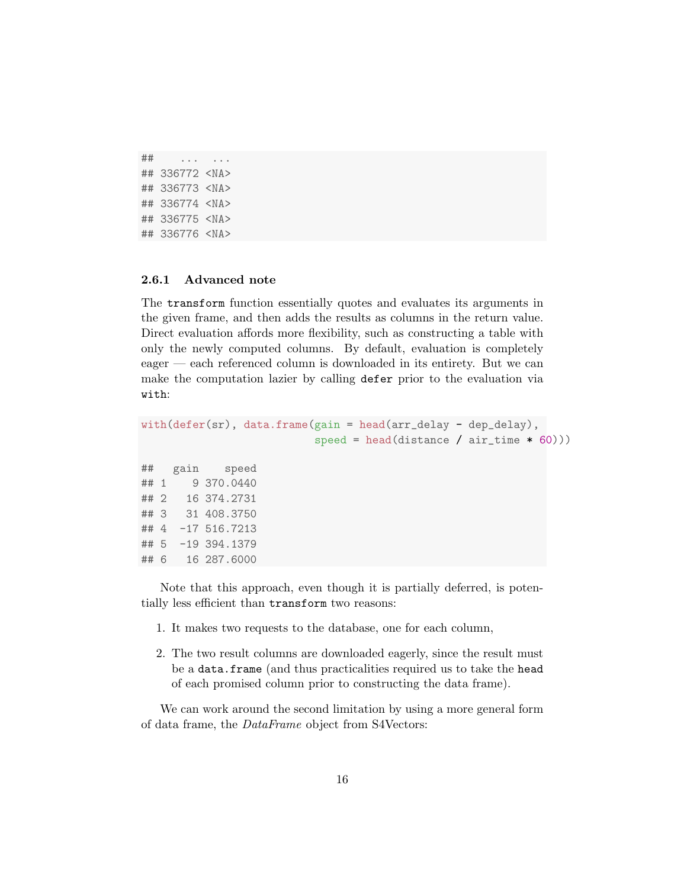```
## ... ...
## 336772 <NA>
## 336773 <NA>
## 336774 <NA>
## 336775 <NA>
## 336776 <NA>
```
#### 2.6.1 Advanced note

The transform function essentially quotes and evaluates its arguments in the given frame, and then adds the results as columns in the return value. Direct evaluation affords more flexibility, such as constructing a table with only the newly computed columns. By default, evaluation is completely eager — each referenced column is downloaded in its entirety. But we can make the computation lazier by calling defer prior to the evaluation via with:

```
with(defer(sr), data.frame(gain = head(arr_delay - dep_delay),
                         speed = head(distance / air_time * 60)))
## gain speed
## 1 9 370.0440
## 2 16 374.2731
## 3 31 408.3750
## 4 -17 516.7213
## 5 -19 394.1379
## 6 16 287.6000
```
Note that this approach, even though it is partially deferred, is potentially less efficient than transform two reasons:

- 1. It makes two requests to the database, one for each column,
- 2. The two result columns are downloaded eagerly, since the result must be a data.frame (and thus practicalities required us to take the head of each promised column prior to constructing the data frame).

We can work around the second limitation by using a more general form of data frame, the DataFrame object from S4Vectors: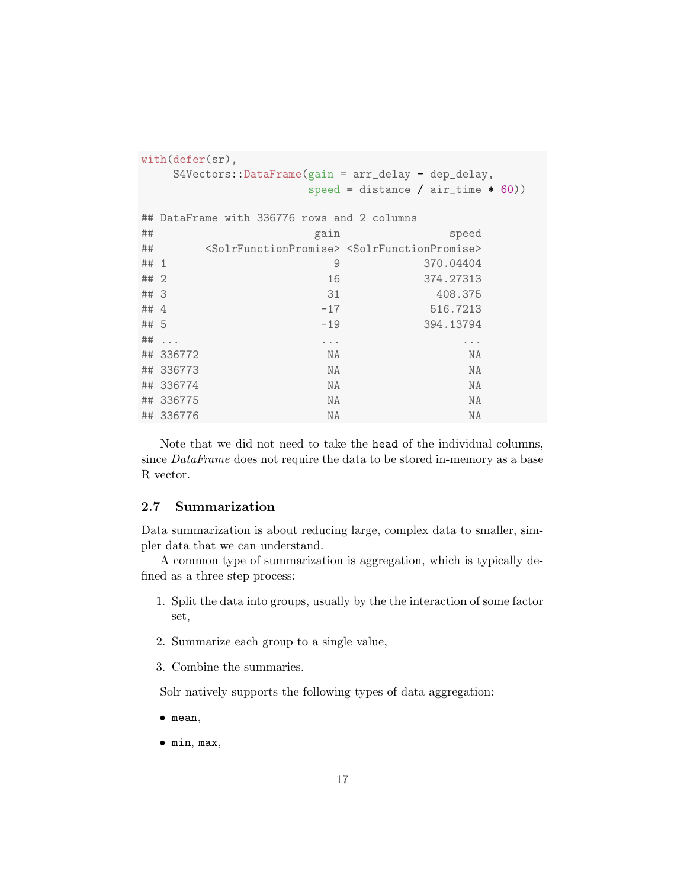|      | $with (defer(sr)$ ,                                                                            |                                             |                                                                                         |  |  |  |  |
|------|------------------------------------------------------------------------------------------------|---------------------------------------------|-----------------------------------------------------------------------------------------|--|--|--|--|
|      | $S4Vectors: \text{DataFrame}(\text{gain} = \text{arr}_\text{delay} - \text{dep}_\text{delay},$ |                                             |                                                                                         |  |  |  |  |
|      |                                                                                                |                                             | speed = distance / $air_time * 60)$ )                                                   |  |  |  |  |
|      |                                                                                                |                                             |                                                                                         |  |  |  |  |
|      |                                                                                                | ## DataFrame with 336776 rows and 2 columns |                                                                                         |  |  |  |  |
| ##   |                                                                                                | gain                                        | speed                                                                                   |  |  |  |  |
| ##   |                                                                                                |                                             | <solrfunctionpromise> <solrfunctionpromise></solrfunctionpromise></solrfunctionpromise> |  |  |  |  |
| ## 1 |                                                                                                | 9                                           | 370.04404                                                                               |  |  |  |  |
| ##2  |                                                                                                | 16                                          | 374.27313                                                                               |  |  |  |  |
| ##3  |                                                                                                | 31                                          | 408.375                                                                                 |  |  |  |  |
| ## 4 |                                                                                                | $-17$                                       | 516.7213                                                                                |  |  |  |  |
| ## 5 |                                                                                                | $-19$                                       | 394.13794                                                                               |  |  |  |  |
|      | $\#$ # $\ldots$                                                                                | $\cdots$                                    | $\cdots$                                                                                |  |  |  |  |
|      | ## 336772                                                                                      | NA                                          | NA                                                                                      |  |  |  |  |
|      | ## 336773                                                                                      | NA                                          | NA                                                                                      |  |  |  |  |
|      | ## 336774                                                                                      | NA                                          | NA                                                                                      |  |  |  |  |
|      | ## 336775                                                                                      | NA                                          | NA                                                                                      |  |  |  |  |
|      | ## 336776                                                                                      | NA                                          | NA                                                                                      |  |  |  |  |

Note that we did not need to take the head of the individual columns, since DataFrame does not require the data to be stored in-memory as a base R vector.

### 2.7 Summarization

Data summarization is about reducing large, complex data to smaller, simpler data that we can understand.

A common type of summarization is aggregation, which is typically defined as a three step process:

- 1. Split the data into groups, usually by the the interaction of some factor set,
- 2. Summarize each group to a single value,
- 3. Combine the summaries.

Solr natively supports the following types of data aggregation:

- mean,
- min, max,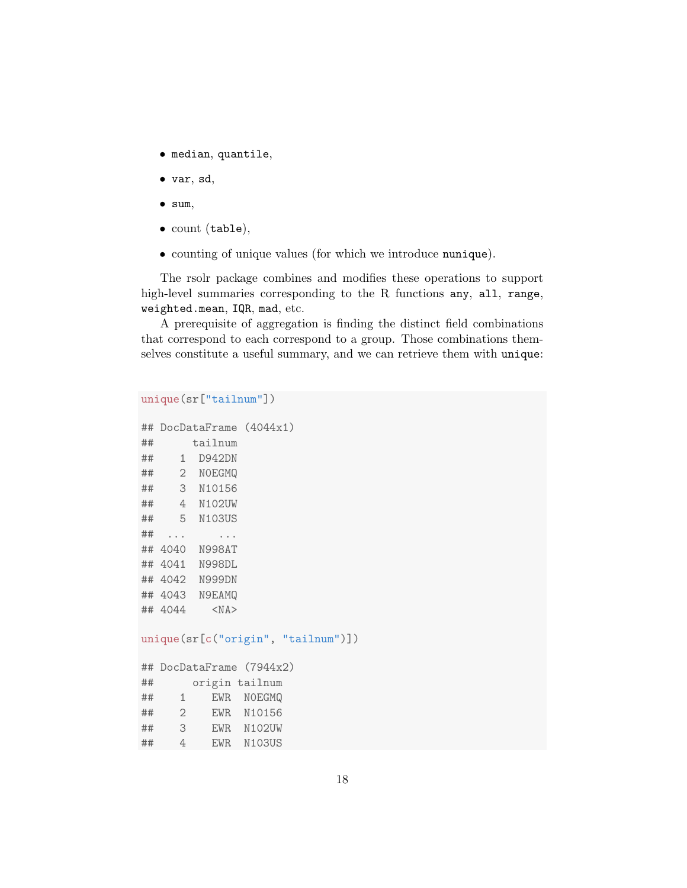- median, quantile,
- var, sd,
- sum,
- count (table),
- counting of unique values (for which we introduce nunique).

The rsolr package combines and modifies these operations to support high-level summaries corresponding to the R functions any, all, range, weighted.mean, IQR, mad, etc.

A prerequisite of aggregation is finding the distinct field combinations that correspond to each correspond to a group. Those combinations themselves constitute a useful summary, and we can retrieve them with unique:

```
unique(sr["tailnum"])
```

```
## DocDataFrame (4044x1)
## tailnum
## 1 D942DN
## 2 N0EGMQ
## 3 N10156
## 4 N102UW
## 5 N103US
## ... ...
## 4040 N998AT
## 4041 N998DL
## 4042 N999DN
## 4043 N9EAMQ
## 4044 <NA>
```
unique(sr[c("origin", "tailnum")])

```
## DocDataFrame (7944x2)
## origin tailnum
## 1 EWR N0EGMQ
## 2 EWR N10156
## 3 EWR N102UW
## 4 EWR N103US
```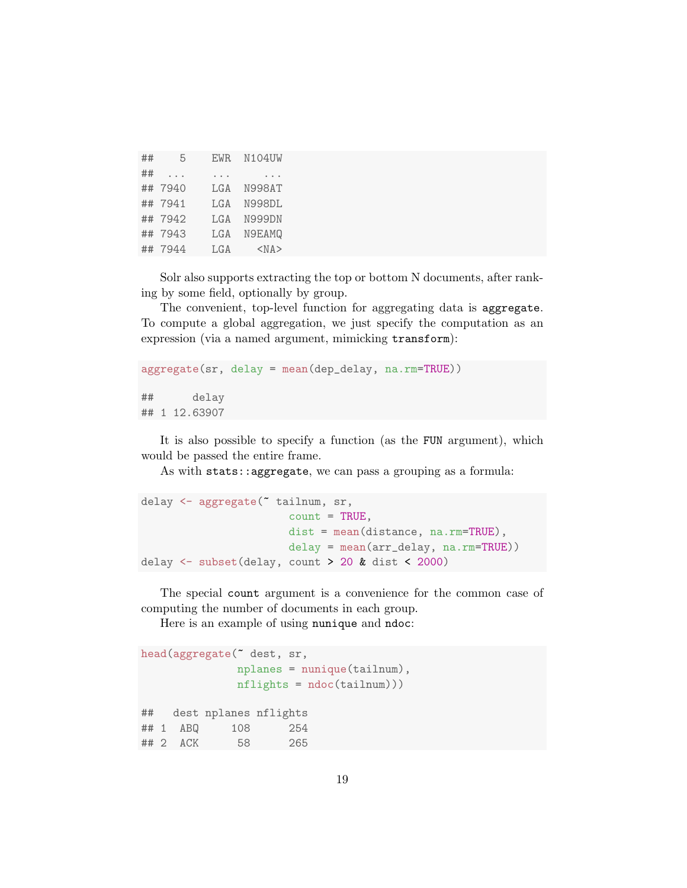| ## | 5        | <b>EWR</b> | <b>N104UW</b> |
|----|----------|------------|---------------|
| ## | $\cdots$ | .          |               |
|    | ## 7940  | LGA        | N998AT        |
|    | ## 7941  | LGA        | N998DL        |
|    | ## 7942  | T.GA       | N999DN        |
|    | ## 7943  | LGA        | N9EAMQ        |
|    | ## 7944  | LGA        | $<$ NA $>$    |

Solr also supports extracting the top or bottom N documents, after ranking by some field, optionally by group.

The convenient, top-level function for aggregating data is aggregate. To compute a global aggregation, we just specify the computation as an expression (via a named argument, mimicking transform):

```
aggregate(sr, delay = mean(dep_delay, na.rm=TRUE))
## delay
## 1 12.63907
```
It is also possible to specify a function (as the FUN argument), which would be passed the entire frame.

As with stats::aggregate, we can pass a grouping as a formula:

```
delay <- aggregate(~ tailnum, sr,
                       count = TRUE,dist = mean(distance, na.rm=TRUE),
                       delay = mean(arr_delay, na.rm=TRUE))
delay <- subset(delay, count > 20 & dist < 2000)
```
The special count argument is a convenience for the common case of computing the number of documents in each group.

Here is an example of using nunique and ndoc:

```
head(aggregate(~ dest, sr,
             nplanes = nunique(tailnum),
             nflights = ndoc(tailnum)))
## dest nplanes nflights
## 1 ABQ 108 254
## 2 ACK 58 265
```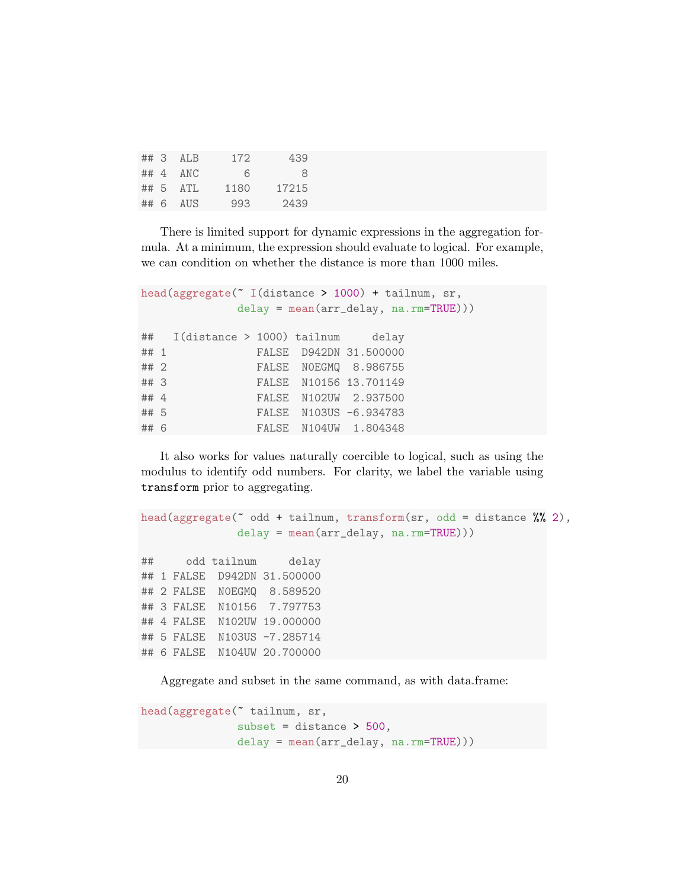|      | $\#$ # 3 ALB | 172  | 439   |
|------|--------------|------|-------|
|      | $\#$ # 4 ANC | 6    | 8     |
|      | $## 5$ ATL   | 1180 | 17215 |
| ## 6 | AUS          | 993  | 2439  |

There is limited support for dynamic expressions in the aggregation formula. At a minimum, the expression should evaluate to logical. For example, we can condition on whether the distance is more than 1000 miles.

```
head(aggregate(~ I(distance > 1000) + tailnum, sr,
           delay = mean(arr_delay, na.rm=TRUE)))
## I(distance > 1000) tailnum delay
## 1 FALSE D942DN 31.500000
## 2 FALSE N0EGMQ 8.986755
## 3 FALSE N10156 13.701149
## 4 FALSE N102UW 2.937500
## 5 FALSE N103US -6.934783
## 6 FALSE N104UW 1.804348
```
It also works for values naturally coercible to logical, such as using the modulus to identify odd numbers. For clarity, we label the variable using transform prior to aggregating.

```
head(aggregate(\degree odd + tailnum, transform(sr, odd = distance \% 2),
              delay = mean(arr_delay, na.rm=TRUE)))
## odd tailnum delay
## 1 FALSE D942DN 31.500000
## 2 FALSE N0EGMQ 8.589520
## 3 FALSE N10156 7.797753
## 4 FALSE N102UW 19.000000
## 5 FALSE N103US -7.285714
## 6 FALSE N104UW 20.700000
```
Aggregate and subset in the same command, as with data.frame:

```
head(aggregate(~ tailnum, sr,
               subset = distance > 500,
               delay = mean(arr_delay, na.rm=TRUE)))
```